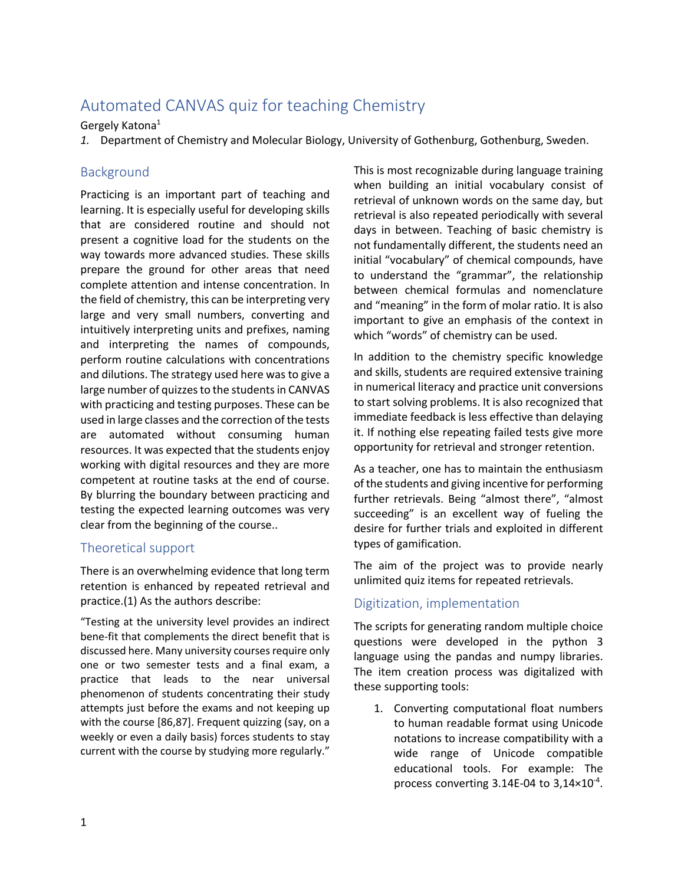# Automated CANVAS quiz for teaching Chemistry

## Gergely Katona1

*1.* Department of Chemistry and Molecular Biology, University of Gothenburg, Gothenburg, Sweden.

## Background

Practicing is an important part of teaching and learning. It is especially useful for developing skills that are considered routine and should not present a cognitive load for the students on the way towards more advanced studies. These skills prepare the ground for other areas that need complete attention and intense concentration. In the field of chemistry, this can be interpreting very large and very small numbers, converting and intuitively interpreting units and prefixes, naming and interpreting the names of compounds, perform routine calculations with concentrations and dilutions. The strategy used here was to give a large number of quizzes to the students in CANVAS with practicing and testing purposes. These can be used in large classes and the correction of the tests are automated without consuming human resources. It was expected that the students enjoy working with digital resources and they are more competent at routine tasks at the end of course. By blurring the boundary between practicing and testing the expected learning outcomes was very clear from the beginning of the course..

## Theoretical support

There is an overwhelming evidence that long term retention is enhanced by repeated retrieval and practice.(1) As the authors describe:

"Testing at the university level provides an indirect bene-fit that complements the direct benefit that is discussed here. Many university courses require only one or two semester tests and a final exam, a practice that leads to the near universal phenomenon of students concentrating their study attempts just before the exams and not keeping up with the course [86,87]. Frequent quizzing (say, on a weekly or even a daily basis) forces students to stay current with the course by studying more regularly."

This is most recognizable during language training when building an initial vocabulary consist of retrieval of unknown words on the same day, but retrieval is also repeated periodically with several days in between. Teaching of basic chemistry is not fundamentally different, the students need an initial "vocabulary" of chemical compounds, have to understand the "grammar", the relationship between chemical formulas and nomenclature and "meaning" in the form of molar ratio. It is also important to give an emphasis of the context in which "words" of chemistry can be used.

In addition to the chemistry specific knowledge and skills, students are required extensive training in numerical literacy and practice unit conversions to start solving problems. It is also recognized that immediate feedback is less effective than delaying it. If nothing else repeating failed tests give more opportunity for retrieval and stronger retention.

As a teacher, one has to maintain the enthusiasm of the students and giving incentive for performing further retrievals. Being "almost there", "almost succeeding" is an excellent way of fueling the desire for further trials and exploited in different types of gamification.

The aim of the project was to provide nearly unlimited quiz items for repeated retrievals.

## Digitization, implementation

The scripts for generating random multiple choice questions were developed in the python 3 language using the pandas and numpy libraries. The item creation process was digitalized with these supporting tools:

1. Converting computational float numbers to human readable format using Unicode notations to increase compatibility with a wide range of Unicode compatible educational tools. For example: The process converting  $3.14E-04$  to  $3.14 \times 10^{-4}$ .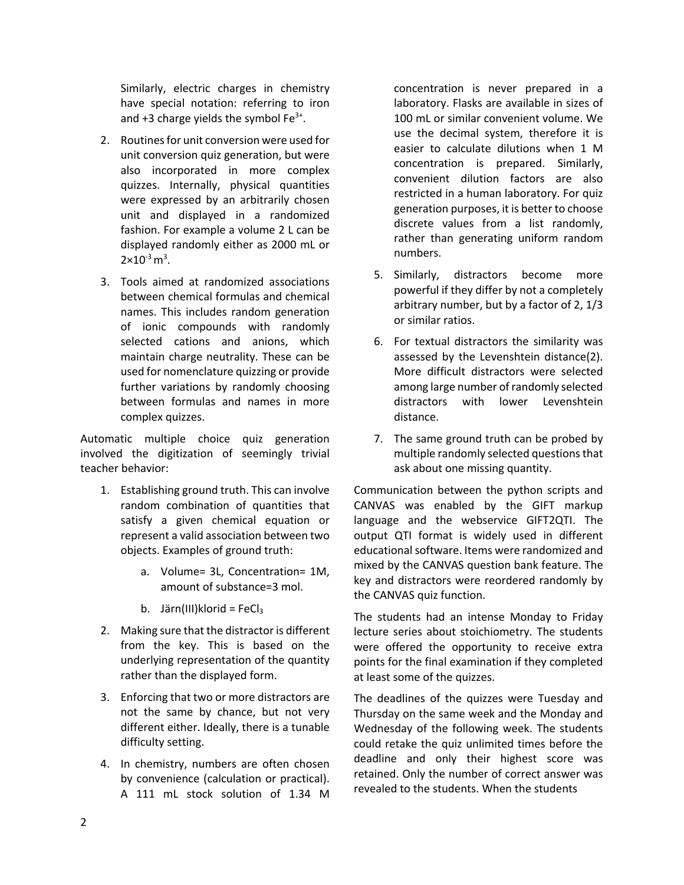Similarly, electric charges in chemistry have special notation: referring to iron and +3 charge yields the symbol  $Fe<sup>3+</sup>$ .

- 2. Routines for unit conversion were used for unit conversion quiz generation, but were also incorporated in more complex quizzes. Internally, physical quantities were expressed by an arbitrarily chosen unit and displayed in a randomized fashion. For example a volume 2 L can be displayed randomly either as 2000 mL or  $2\times 10^{-3}$  m<sup>3</sup>.
- 3. Tools aimed at randomized associations between chemical formulas and chemical names. This includes random generation of ionic compounds with randomly selected cations and anions, which maintain charge neutrality. These can be used for nomenclature quizzing or provide further variations by randomly choosing between formulas and names in more complex quizzes.

Automatic multiple choice quiz generation involved the digitization of seemingly trivial teacher behavior:

- 1. Establishing ground truth. This can involve random combination of quantities that satisfy a given chemical equation or represent a valid association between two objects. Examples of ground truth:
	- a. Volume= 3L, Concentration= 1M, amount of substance=3 mol.
	- b. Järn(III)klorid = FeCl $_3$
- 2. Making sure that the distractor is different from the key. This is based on the underlying representation of the quantity rather than the displayed form.
- 3. Enforcing that two or more distractors are not the same by chance, but not very different either. Ideally, there is a tunable difficulty setting.
- 4. In chemistry, numbers are often chosen by convenience (calculation or practical). A 111 mL stock solution of 1.34 M

concentration is never prepared in a laboratory. Flasks are available in sizes of 100 mL or similar convenient volume. We use the decimal system, therefore it is easier to calculate dilutions when 1 M concentration is prepared. Similarly, convenient dilution factors are also restricted in a human laboratory. For quiz generation purposes, it is better to choose discrete values from a list randomly, rather than generating uniform random numbers.

- 5. Similarly, distractors become more powerful if they differ by not a completely arbitrary number, but by a factor of 2, 1/3 or similar ratios.
- 6. For textual distractors the similarity was assessed by the Levenshtein distance(2). More difficult distractors were selected among large number of randomly selected distractors with lower Levenshtein distance.
- 7. The same ground truth can be probed by multiple randomly selected questionsthat ask about one missing quantity.

Communication between the python scripts and CANVAS was enabled by the GIFT markup language and the webservice GIFT2QTI. The output QTI format is widely used in different educational software. Items were randomized and mixed by the CANVAS question bank feature. The key and distractors were reordered randomly by the CANVAS quiz function.

The students had an intense Monday to Friday lecture series about stoichiometry. The students were offered the opportunity to receive extra points for the final examination if they completed at least some of the quizzes.

The deadlines of the quizzes were Tuesday and Thursday on the same week and the Monday and Wednesday of the following week. The students could retake the quiz unlimited times before the deadline and only their highest score was retained. Only the number of correct answer was revealed to the students. When the students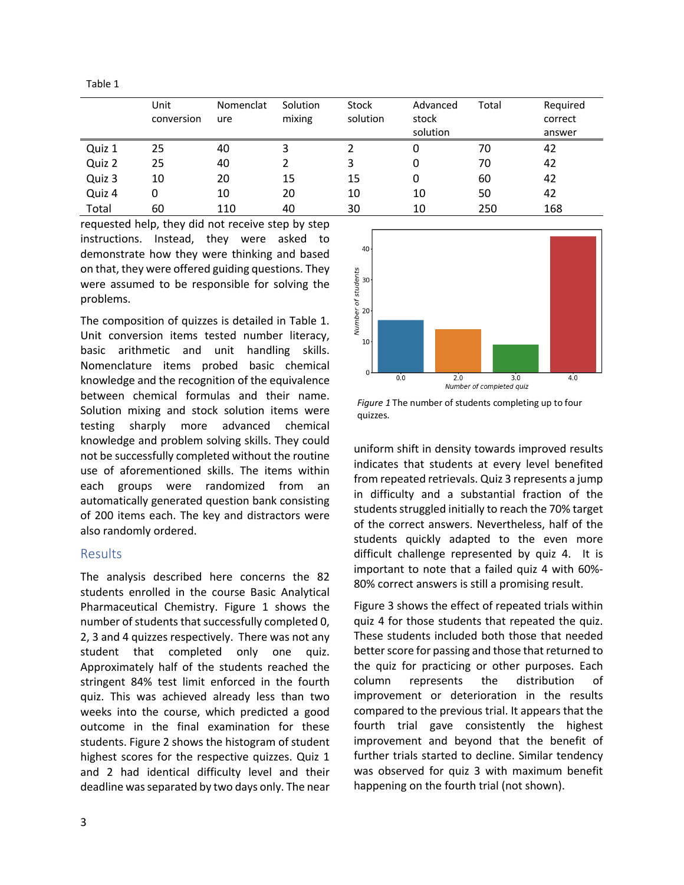Table 1

|        | Unit<br>conversion | Nomenclat<br>ure | Solution<br>mixing | Stock<br>solution | Advanced<br>stock<br>solution | Total | Required<br>correct<br>answer |
|--------|--------------------|------------------|--------------------|-------------------|-------------------------------|-------|-------------------------------|
| Quiz 1 | 25                 | 40               | ς                  |                   | 0                             | 70    | 42                            |
| Quiz 2 | 25                 | 40               |                    | 3                 | 0                             | 70    | 42                            |
| Quiz 3 | 10                 | 20               | 15                 | 15                | 0                             | 60    | 42                            |
| Quiz 4 | 0                  | 10               | 20                 | 10                | 10                            | 50    | 42                            |
| Total  | 60                 | 110              | 40                 | 30                | 10                            | 250   | 168                           |

requested help, they did not receive step by step instructions. Instead, they were asked to demonstrate how they were thinking and based on that, they were offered guiding questions. They were assumed to be responsible for solving the problems.

The composition of quizzes is detailed in Table 1. Unit conversion items tested number literacy, basic arithmetic and unit handling skills. Nomenclature items probed basic chemical knowledge and the recognition of the equivalence between chemical formulas and their name. Solution mixing and stock solution items were testing sharply more advanced chemical knowledge and problem solving skills. They could not be successfully completed without the routine use of aforementioned skills. The items within each groups were randomized from an automatically generated question bank consisting of 200 items each. The key and distractors were also randomly ordered.

## Results

The analysis described here concerns the 82 students enrolled in the course Basic Analytical Pharmaceutical Chemistry. Figure 1 shows the number of students that successfully completed 0, 2, 3 and 4 quizzes respectively. There was not any student that completed only one quiz. Approximately half of the students reached the stringent 84% test limit enforced in the fourth quiz. This was achieved already less than two weeks into the course, which predicted a good outcome in the final examination for these students. Figure 2 shows the histogram of student highest scores for the respective quizzes. Quiz 1 and 2 had identical difficulty level and their deadline was separated by two days only. The near



*Figure 1* The number of students completing up to four quizzes.

uniform shift in density towards improved results indicates that students at every level benefited from repeated retrievals. Quiz 3 represents a jump in difficulty and a substantial fraction of the students struggled initially to reach the 70% target of the correct answers. Nevertheless, half of the students quickly adapted to the even more difficult challenge represented by quiz 4. It is important to note that a failed quiz 4 with 60%- 80% correct answers is still a promising result.

Figure 3 shows the effect of repeated trials within quiz 4 for those students that repeated the quiz. These students included both those that needed better score for passing and those that returned to the quiz for practicing or other purposes. Each column represents the distribution of improvement or deterioration in the results compared to the previous trial. It appears that the fourth trial gave consistently the highest improvement and beyond that the benefit of further trials started to decline. Similar tendency was observed for quiz 3 with maximum benefit happening on the fourth trial (not shown).